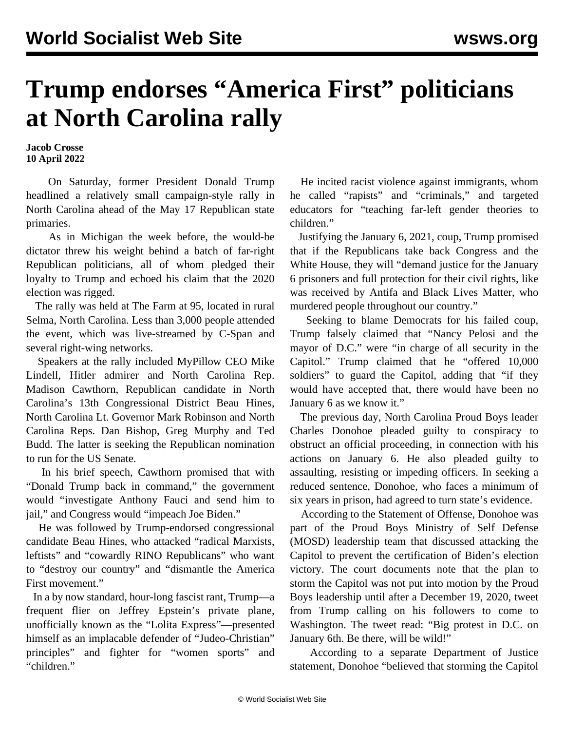## **Trump endorses "America First" politicians at North Carolina rally**

**Jacob Crosse 10 April 2022**

 On Saturday, former President Donald Trump headlined a relatively small campaign-style rally in North Carolina ahead of the May 17 Republican state primaries.

 As in [Michigan the week before](/en/articles/2022/04/04/trum-a04.html), the would-be dictator threw his weight behind a batch of far-right Republican politicians, all of whom pledged their loyalty to Trump and echoed his claim that the 2020 election was rigged.

 The rally was held at The Farm at 95, located in rural Selma, North Carolina. Less than 3,000 people attended the event, which was live-streamed by C-Span and several right-wing networks.

 Speakers at the rally included MyPillow CEO Mike Lindell, Hitler admirer and North Carolina Rep. Madison Cawthorn, Republican candidate in North Carolina's 13th Congressional District Beau Hines, North Carolina Lt. Governor Mark Robinson and North Carolina Reps. Dan Bishop, Greg Murphy and Ted Budd. The latter is seeking the Republican nomination to run for the US Senate.

 In his brief speech, Cawthorn promised that with "Donald Trump back in command," the government would "investigate Anthony Fauci and send him to jail," and Congress would "impeach Joe Biden."

 He was followed by Trump-endorsed congressional candidate Beau Hines, who attacked "radical Marxists, leftists" and "cowardly RINO Republicans" who want to "destroy our country" and "dismantle the America First movement."

 In a by now standard, hour-long fascist rant, Trump—a frequent flier on Jeffrey Epstein's private plane, unofficially known as the "Lolita Express"—presented himself as an implacable defender of "Judeo-Christian" principles" and fighter for "women sports" and "children."

 He incited racist violence against immigrants, whom he called "rapists" and "criminals," and targeted educators for "teaching far-left gender theories to children."

 Justifying the January 6, 2021, coup, Trump promised that if the Republicans take back Congress and the White House, they will "demand justice for the January 6 prisoners and full protection for their civil rights, like was received by Antifa and Black Lives Matter, who murdered people throughout our country."

 Seeking to blame Democrats for his failed coup, Trump falsely claimed that "Nancy Pelosi and the mayor of D.C." were "in charge of all security in the Capitol." Trump claimed that he "offered 10,000 soldiers" to guard the Capitol, adding that "if they would have accepted that, there would have been no January 6 as we know it."

 The previous day, North Carolina Proud Boys leader Charles Donohoe pleaded guilty to conspiracy to obstruct an official proceeding, in connection with his actions on January 6. He also pleaded guilty to assaulting, resisting or impeding officers. In seeking a reduced sentence, Donohoe, who faces a minimum of six years in prison, had agreed to turn state's evidence.

 According to the [Statement of Offense,](https://www.documentcloud.org/documents/21580937-220408-donohoe-statement-of-offense) Donohoe was part of the Proud Boys Ministry of Self Defense (MOSD) leadership team that discussed attacking the Capitol to prevent the certification of Biden's election victory. The court documents note that the plan to storm the Capitol was not put into motion by the Proud Boys leadership until after a December 19, 2020, tweet from Trump calling on his followers to come to Washington. The tweet read: "Big protest in D.C. on January 6th. Be there, will be wild!"

 According to a separate Department of Justice statement, Donohoe "believed that storming the Capitol